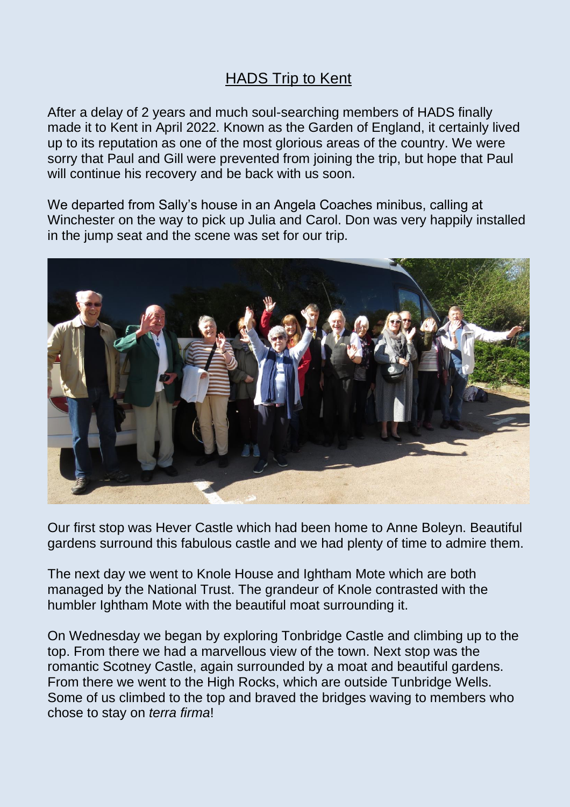## HADS Trip to Kent

After a delay of 2 years and much soul-searching members of HADS finally made it to Kent in April 2022. Known as the Garden of England, it certainly lived up to its reputation as one of the most glorious areas of the country. We were sorry that Paul and Gill were prevented from joining the trip, but hope that Paul will continue his recovery and be back with us soon.

We departed from Sally's house in an Angela Coaches minibus, calling at Winchester on the way to pick up Julia and Carol. Don was very happily installed in the jump seat and the scene was set for our trip.



Our first stop was Hever Castle which had been home to Anne Boleyn. Beautiful gardens surround this fabulous castle and we had plenty of time to admire them.

The next day we went to Knole House and Ightham Mote which are both managed by the National Trust. The grandeur of Knole contrasted with the humbler Ightham Mote with the beautiful moat surrounding it.

On Wednesday we began by exploring Tonbridge Castle and climbing up to the top. From there we had a marvellous view of the town. Next stop was the romantic Scotney Castle, again surrounded by a moat and beautiful gardens. From there we went to the High Rocks, which are outside Tunbridge Wells. Some of us climbed to the top and braved the bridges waving to members who chose to stay on *terra firma*!